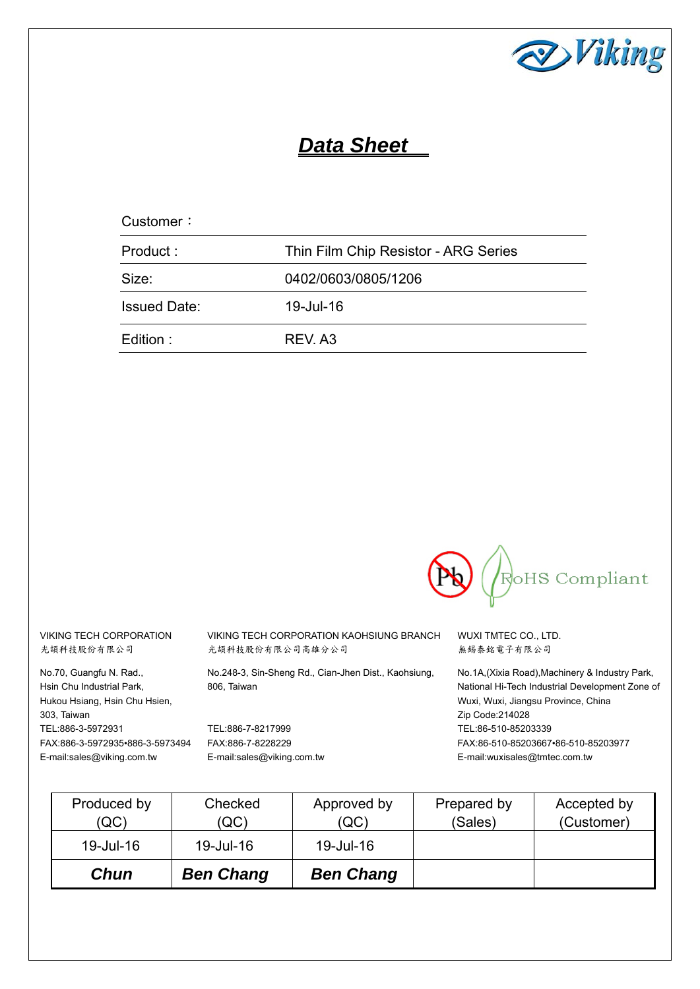

# *Data Sheet*

| Customer:           |                                      |
|---------------------|--------------------------------------|
| Product:            | Thin Film Chip Resistor - ARG Series |
| Size:               | 0402/0603/0805/1206                  |
| <b>Issued Date:</b> | 19-Jul-16                            |
| Edition :           | REV. A3                              |



VIKING TECH CORPORATION 光頡科技股份有限公司

No.70, Guangfu N. Rad., Hsin Chu Industrial Park, Hukou Hsiang, Hsin Chu Hsien, 303, Taiwan TEL:886-3-5972931 FAX:886-3-5972935•886-3-5973494 E-mail:sales@viking.com.tw

VIKING TECH CORPORATION KAOHSIUNG BRANCH 光頡科技股份有限公司高雄分公司

No.248-3, Sin-Sheng Rd., Cian-Jhen Dist., Kaohsiung, 806, Taiwan

TEL:886-7-8217999 FAX:886-7-8228229 E-mail:sales@viking.com.tw WUXI TMTEC CO., LTD. 無錫泰銘電子有限公司

No.1A,(Xixia Road),Machinery & Industry Park, National Hi-Tech Industrial Development Zone of Wuxi, Wuxi, Jiangsu Province, China Zip Code:214028 TEL:86-510-85203339 FAX:86-510-85203667•86-510-85203977 E-mail:wuxisales@tmtec.com.tw

| Produced by<br>(QC) | Checked<br>(QC)  | Approved by<br>(QC) | Prepared by<br>(Sales) | Accepted by<br>(Customer) |
|---------------------|------------------|---------------------|------------------------|---------------------------|
| 19-Jul-16           | 19-Jul-16        | 19-Jul-16           |                        |                           |
| Chun                | <b>Ben Chang</b> | <b>Ben Chang</b>    |                        |                           |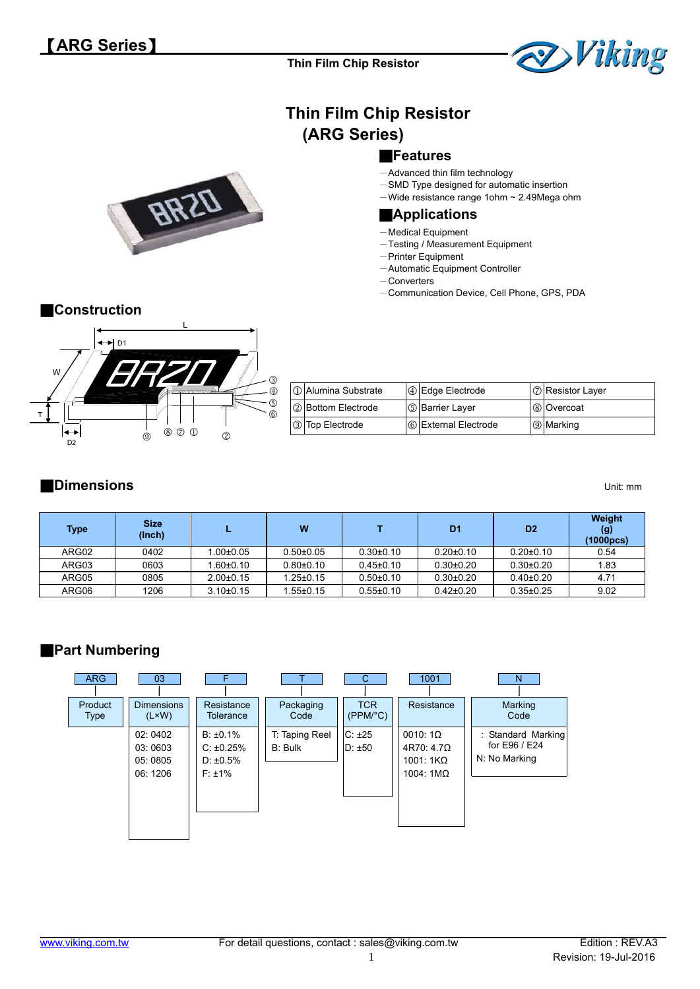

# **Thin Film Chip Resistor (ARG Series)**

#### ■**Features**

- -Advanced thin film technology
- -SMD Type designed for automatic insertion
- $-$ Wide resistance range 1ohm  $\sim$  2.49Mega ohm

#### ■**Applications**

- -Medical Equipment
- -Testing / Measurement Equipment
- -Printer Equipment
- Automatic Equipment Controller
- -Converters
- -Communication Device, Cell Phone, GPS, PDA



# ■**Construction**



| 1 Alumina Substrate | <b>4</b> Edge Electrode | 7 Resistor Layer |
|---------------------|-------------------------|------------------|
| 2 Bottom Electrode  | <b>S</b> Barrier Layer  | 8 Overcoat       |
| 3 Top Electrode     | 6 External Electrode    | <b>9</b> Marking |

## ■**Dimensions** Unit: mm

| <b>Type</b> | <b>Size</b><br>(Inch) |                 | W               |                 | D <sub>1</sub> | D <sub>2</sub>  | Weight<br>(g)<br>(1000pcs) |
|-------------|-----------------------|-----------------|-----------------|-----------------|----------------|-----------------|----------------------------|
| ARG02       | 0402                  | $1.00 \pm 0.05$ | $0.50 + 0.05$   | $0.30 \pm 0.10$ | $0.20 + 0.10$  | $0.20 \pm 0.10$ | 0.54                       |
| ARG03       | 0603                  | $.60{\pm}0.10$  | $0.80{\pm}0.10$ | $0.45 \pm 0.10$ | $0.30+0.20$    | $0.30{\pm}0.20$ | 1.83                       |
| ARG05       | 0805                  | $2.00 \pm 0.15$ | $1.25 \pm 0.15$ | $0.50+0.10$     | $0.30+0.20$    | $0.40{\pm}0.20$ | 4.71                       |
| ARG06       | 1206                  | $3.10 \pm 0.15$ | $.55 \pm 0.15$  | $0.55 \pm 0.10$ | $0.42\pm0.20$  | $0.35 \pm 0.25$ | 9.02                       |

# ■**Part Numbering**

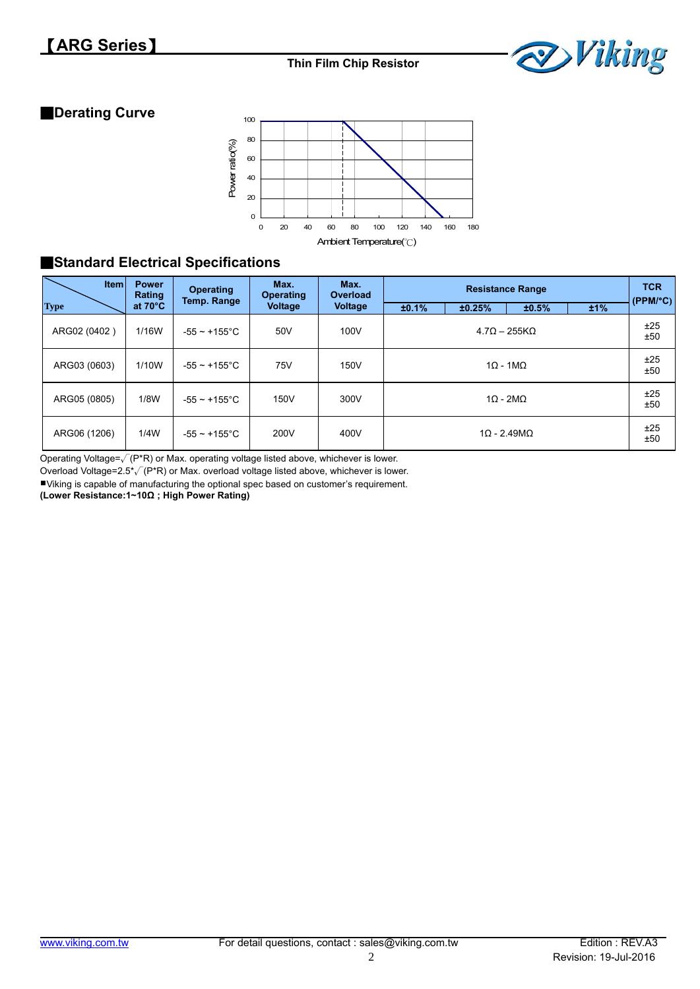

## ■**Derating Curve**



# ■**Standard Electrical Specifications**

| <b>Item</b>  | <b>Power</b><br>Rating | <b>Operating</b><br>Temp. Range | Max.<br><b>Operating</b>             | Max.<br><b>Overload</b> |       | <b>TCR</b><br>(PPM/°C) |                            |     |            |  |  |  |
|--------------|------------------------|---------------------------------|--------------------------------------|-------------------------|-------|------------------------|----------------------------|-----|------------|--|--|--|
| <b>Type</b>  | at $70^{\circ}$ C      |                                 | <b>Voltage</b>                       | <b>Voltage</b>          | ±0.1% | ±0.25%                 | ±0.5%                      | ±1% |            |  |  |  |
| ARG02 (0402) | 1/16W                  | $-55 - +155$ °C                 | 50V                                  | 100V                    |       | $4.7Q - 255KQ$         |                            |     |            |  |  |  |
| ARG03 (0603) | 1/10W                  | -55 $\sim$ +155°C               | 75V                                  | 150V                    |       | ±25<br>±50             |                            |     |            |  |  |  |
| ARG05 (0805) | 1/8W                   | $-55 \sim +155$ °C              | 300V<br>$1\Omega - 2M\Omega$<br>150V |                         |       |                        |                            |     |            |  |  |  |
| ARG06 (1206) | 1/4W                   | $-55 - +155$ °C                 | 200V                                 | 400V                    |       |                        | $1\Omega$ - 2.49M $\Omega$ |     | ±25<br>±50 |  |  |  |

Operating Voltage= $\sqrt{(P^*R)}$  or Max. operating voltage listed above, whichever is lower.

Overload Voltage=2.5\*√(P\*R) or Max. overload voltage listed above, whichever is lower.

Viking is capable of manufacturing the optional spec based on customer's requirement.

**(Lower Resistance:1~10Ω ; High Power Rating)**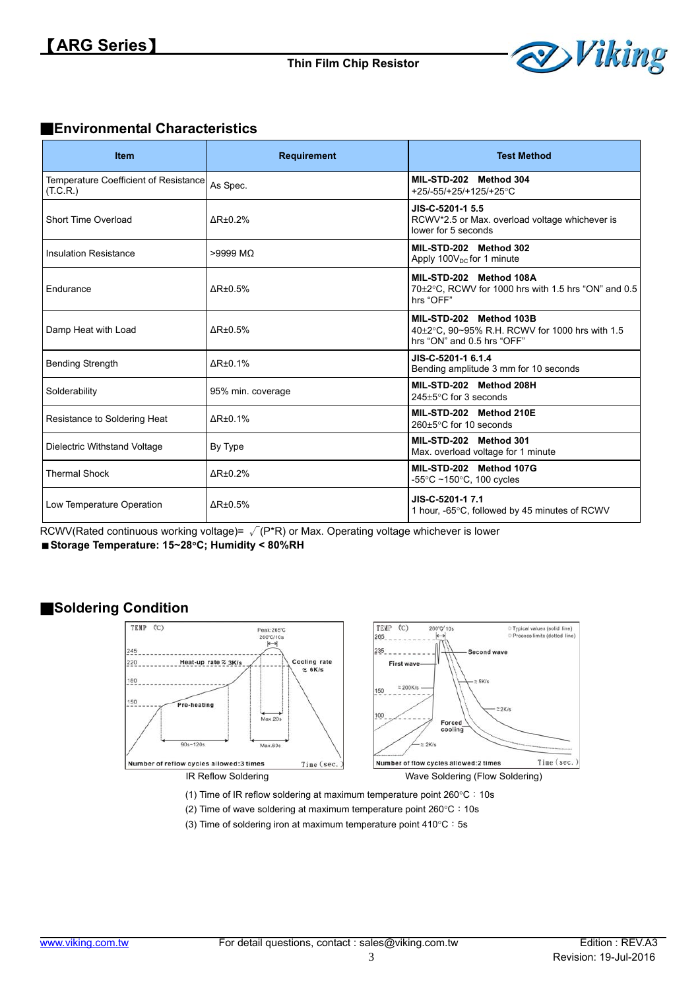

### ■**Environmental Characteristics**

| <b>Item</b>                                       | <b>Requirement</b>           | <b>Test Method</b>                                                                                      |
|---------------------------------------------------|------------------------------|---------------------------------------------------------------------------------------------------------|
| Temperature Coefficient of Resistance<br>(T.C.R.) | As Spec.                     | MIL-STD-202 Method 304<br>+25/-55/+25/+125/+25°C                                                        |
| Short Time Overload                               | $\Delta$ R $\pm$ 0.2%        | JIS-C-5201-1 5.5<br>RCWV*2.5 or Max. overload voltage whichever is<br>lower for 5 seconds               |
| Insulation Resistance                             | $>9999$ MQ                   | MIL-STD-202 Method 302<br>Apply $100V_{DC}$ for 1 minute                                                |
| Endurance                                         | $\Delta$ R±0.5%              | MIL-STD-202 Method 108A<br>70±2°C, RCWV for 1000 hrs with 1.5 hrs "ON" and 0.5<br>hrs "OFF"             |
| Damp Heat with Load                               | $\Delta$ R <sub>±0.5</sub> % | MIL-STD-202 Method 103B<br>40±2°C, 90~95% R.H. RCWV for 1000 hrs with 1.5<br>hrs "ON" and 0.5 hrs "OFF" |
| <b>Bending Strength</b>                           | $\Delta$ R $\pm$ 0.1%        | JIS-C-5201-1 6.1.4<br>Bending amplitude 3 mm for 10 seconds                                             |
| Solderability                                     | 95% min. coverage            | MIL-STD-202 Method 208H<br>$245+5$ °C for 3 seconds                                                     |
| Resistance to Soldering Heat                      | $\Delta$ R $\pm$ 0.1%        | MIL-STD-202 Method 210E<br>260±5°C for 10 seconds                                                       |
| Dielectric Withstand Voltage                      | By Type                      | MIL-STD-202 Method 301<br>Max. overload voltage for 1 minute                                            |
| <b>Thermal Shock</b>                              | $\Delta$ R $\pm$ 0.2%        | MIL-STD-202 Method 107G<br>-55 $\degree$ C ~150 $\degree$ C, 100 cycles                                 |
| Low Temperature Operation                         | $\Delta$ R±0.5%              | JIS-C-5201-1 7.1<br>1 hour, -65°C, followed by 45 minutes of RCWV                                       |

RCWV(Rated continuous working voltage)=  $\sqrt{(P^*R)}$  or Max. Operating voltage whichever is lower

**Storage Temperature: 15~28C; Humidity < 80%RH** 

#### ■**Soldering Condition**



(1) Time of IR reflow soldering at maximum temperature point  $260^{\circ}$ C: 10s

- (2) Time of wave soldering at maximum temperature point  $260^{\circ}$ C: 10s
- (3) Time of soldering iron at maximum temperature point  $410^{\circ}$ C: 5s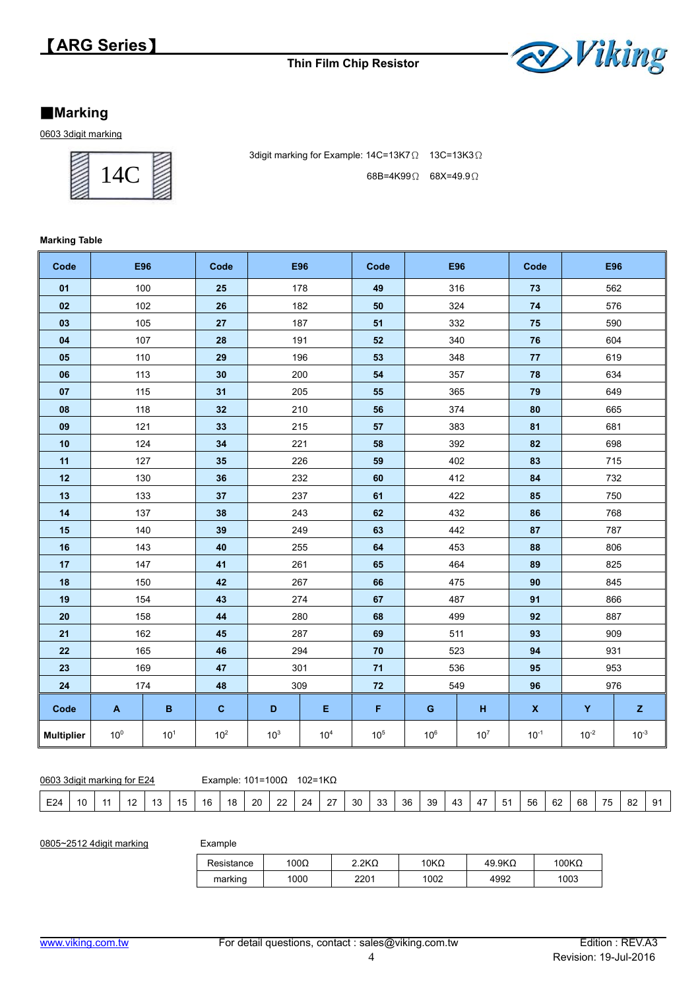

#### **Marking**

0603 3digit marking



3digit marking for Example: 14C=13K7Ω 13C=13K3Ω 68B=4K99Ω 68X=49.9Ω

#### **Marking Table**

| Code              |                 | E96             | Code            | <b>E96</b>      |       | Code            |                 | E96             | Code               | E96       |             |
|-------------------|-----------------|-----------------|-----------------|-----------------|-------|-----------------|-----------------|-----------------|--------------------|-----------|-------------|
| 01                |                 | 100             | 25              | 178             |       | 49              |                 | 316             | 73                 | 562       |             |
| 02                |                 | 102             | 26              | 182             |       | 50              |                 | 324             | 74                 | 576       |             |
| 03                |                 | 105             | 27              | 187             |       | 51              |                 | 332             | 75                 | 590       |             |
| 04                |                 | 107             | 28              | 191             |       | 52              |                 | 340             | ${\bf 76}$         | 604       |             |
| 05                |                 | 110             | 29              | 196             |       | 53              |                 | 348             | 77                 | 619       |             |
| 06                |                 | 113             | 30              | 200             |       | 54              |                 | 357             | 78                 | 634       |             |
| 07                | 115             |                 | 31              | 205             |       | 55              |                 | 365             | 79                 | 649       |             |
| 08                |                 | 118             | 32              | 210             |       | 56              |                 | 374             | 80                 | 665       |             |
| 09                |                 | 121             | 33              | 215             |       | 57              |                 | 383             | 81                 | 681       |             |
| 10                |                 | 124             | 34              | 221             |       | 58              |                 | 392             | 82                 | 698       |             |
| 11                |                 | 127             | 35              | 226             |       | 59              |                 | 402             | 83                 | 715       |             |
| 12                |                 | 130             | 36              | 232             |       | 60              |                 | 412             | 84                 | 732       |             |
| 13                |                 | 133             | 37              | 237             |       | 61              |                 | 422             | 85                 | 750       |             |
| 14                |                 | 137             | 38              | 243             |       | 62              |                 | 432             | 86                 | 768       |             |
| 15                |                 | 140             | 39              | 249             |       | 63              |                 | 442             | 87                 | 787       |             |
| 16                |                 | 143             | 40              | 255             |       | 64              |                 | 453             | 88                 | 806       |             |
| 17                |                 | 147             | 41              |                 | 261   |                 | 464             |                 | 89                 | 825       |             |
| 18                |                 | 150             | 42              | 267             |       | 66              |                 | 475             | 90                 | 845       |             |
| 19                |                 | 154             | 43              | 274             |       | 67              | 487             |                 | 91                 |           | 866         |
| 20                |                 | 158             | 44              | 280             |       | 68              | 499             |                 | 92                 | 887       |             |
| 21                |                 | 162             | 45              | 287             |       | 69              |                 | 511             | 93                 | 909       |             |
| 22                |                 | 165             | 46              | 294             |       | 70              |                 | 523             | 94                 | 931       |             |
| 23                |                 | 169             | 47              | 301             |       | 71              |                 | 536             | 95                 | 953       |             |
| 24                |                 | 174             | 48              | 309             |       | 72              |                 | 549             | 96                 | 976       |             |
| Code              | A               | B               | $\mathbf{C}$    | D               | Ε     | F               | G               | H               | $\pmb{\mathsf{X}}$ | Y         | $\mathsf z$ |
| <b>Multiplier</b> | 10 <sup>0</sup> | 10 <sup>1</sup> | 10 <sup>2</sup> | 10 <sup>3</sup> | $104$ | 10 <sup>5</sup> | 10 <sup>6</sup> | 10 <sup>7</sup> | $10^{-1}$          | $10^{-2}$ | $10^{-3}$   |

|  | 0603 3 digit marking for E24 |  |
|--|------------------------------|--|

Example:  $101=100Ω$  102=1KΩ

| $\sim$<br>ົດດ<br>39<br>68<br>$\sim$<br>$\sim$<br>ററ<br>56<br>$\sim$<br><b>75</b><br>62<br>24<br>30<br>36<br>16<br>$\cdot$<br>$\overline{\phantom{a}}$<br>٥z<br>- 33 |  | E24 |  |  |  |  |  |  |  | $\sim$ |  |  |  |  |  |  | __ |  |  |  | __ |  |  |  | $\sim$ $\sim$ |  |
|---------------------------------------------------------------------------------------------------------------------------------------------------------------------|--|-----|--|--|--|--|--|--|--|--------|--|--|--|--|--|--|----|--|--|--|----|--|--|--|---------------|--|
|---------------------------------------------------------------------------------------------------------------------------------------------------------------------|--|-----|--|--|--|--|--|--|--|--------|--|--|--|--|--|--|----|--|--|--|----|--|--|--|---------------|--|

0805~2512 4digit marking

| Example |  |
|---------|--|
|---------|--|

| Resistance | 100Ω | $2.2K\Omega$ | $10K\Omega$ | $49.9K\Omega$ | $100K\Omega$ |
|------------|------|--------------|-------------|---------------|--------------|
| marking    | 1000 | 2201         | 1002        | 4992          | 1003         |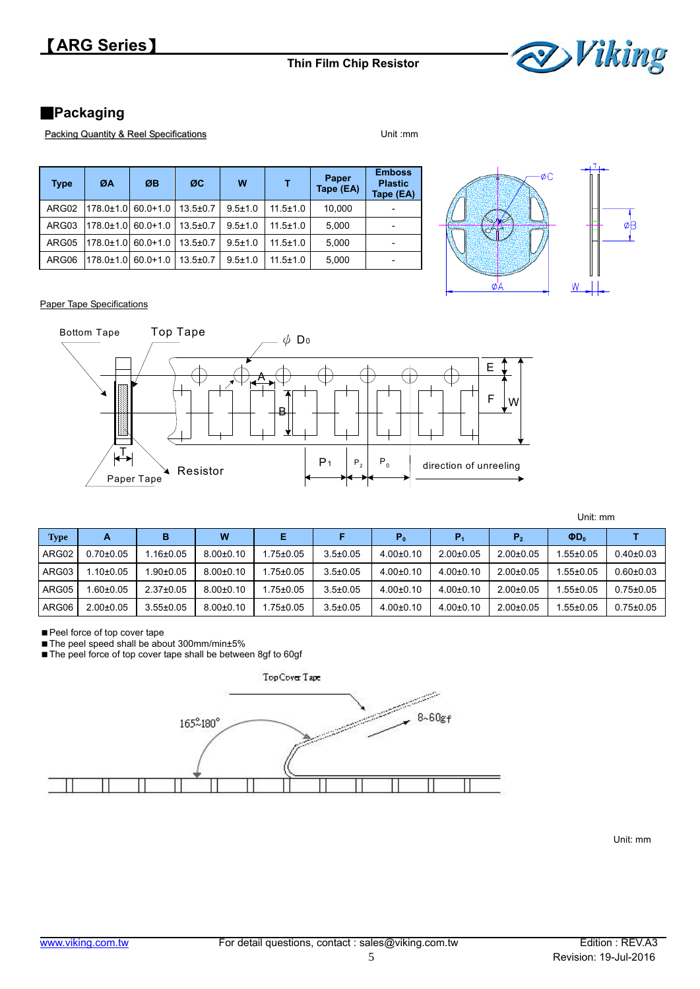

## ■**Packaging**

Packing Quantity & Reel Specifications **Packing Quantity & Reel Specifications** 

| <b>Type</b> | ØA              | ØB           | ØC             | W             |                | Paper<br>Tape (EA) | <b>Emboss</b><br><b>Plastic</b><br>Tape (EA) |
|-------------|-----------------|--------------|----------------|---------------|----------------|--------------------|----------------------------------------------|
| ARG02       | $178.0 \pm 1.0$ | $60.0 + 1.0$ | $13.5 \pm 0.7$ | $9.5 \pm 1.0$ | $11.5 \pm 1.0$ | 10.000             |                                              |
| ARG03       | 178.0±1.0       | $60.0 + 1.0$ | $13.5 \pm 0.7$ | $9.5 \pm 1.0$ | $11.5 \pm 1.0$ | 5.000              |                                              |
| ARG05       | $178.0 \pm 1.0$ | $60.0 + 1.0$ | $13.5 \pm 0.7$ | $9.5 \pm 1.0$ | $11.5 \pm 1.0$ | 5.000              |                                              |
| ARG06       | 178.0±1.0       | $60.0 + 1.0$ | $13.5 \pm 0.7$ | $9.5 \pm 1.0$ | $11.5 \pm 1.0$ | 5.000              |                                              |



Paper Tape Specifications



Unit: mm

| Type  | А               | в               | W               | Е              |                | P <sub>0</sub>  | P <sub>1</sub>  | P <sub>2</sub> | $\Phi D_0$      |                 |
|-------|-----------------|-----------------|-----------------|----------------|----------------|-----------------|-----------------|----------------|-----------------|-----------------|
| ARG02 | $0.70{\pm}0.05$ | .16±0.05        | $8.00 \pm 0.10$ | $.75{\pm}0.05$ | $3.5 \pm 0.05$ | $4.00 \pm 0.10$ | $2.00+0.05$     | $2.00+0.05$    | 1.55±0.05       | $0.40 \pm 0.03$ |
| ARG03 | $.10{\pm}0.05$  | $.90 \pm 0.05$  | $8.00 \pm 0.10$ | .75±0.05       | $3.5 \pm 0.05$ | $4.00 \pm 0.10$ | $4.00 \pm 0.10$ | $2.00+0.05$    | $1.55 \pm 0.05$ | $0.60 \pm 0.03$ |
| ARG05 | $.60 \pm 0.05$  | $2.37 \pm 0.05$ | $8.00 \pm 0.10$ | $.75{\pm}0.05$ | $3.5 \pm 0.05$ | $4.00 \pm 0.10$ | $4.00 \pm 0.10$ | $2.00+0.05$    | 1.55±0.05       | $0.75 \pm 0.05$ |
| ARG06 | $2.00 \pm 0.05$ | $3.55 \pm 0.05$ | $8.00 + 0.10$   | .75±0.05       | $3.5 \pm 0.05$ | $4.00 \pm 0.10$ | $4.00+0.10$     | $2.00+0.05$    | $1.55 \pm 0.05$ | $0.75 \pm 0.05$ |

Peel force of top cover tape

■ The peel speed shall be about 300mm/min±5%

■ The peel force of top cover tape shall be between 8gf to 60gf



Unit: mm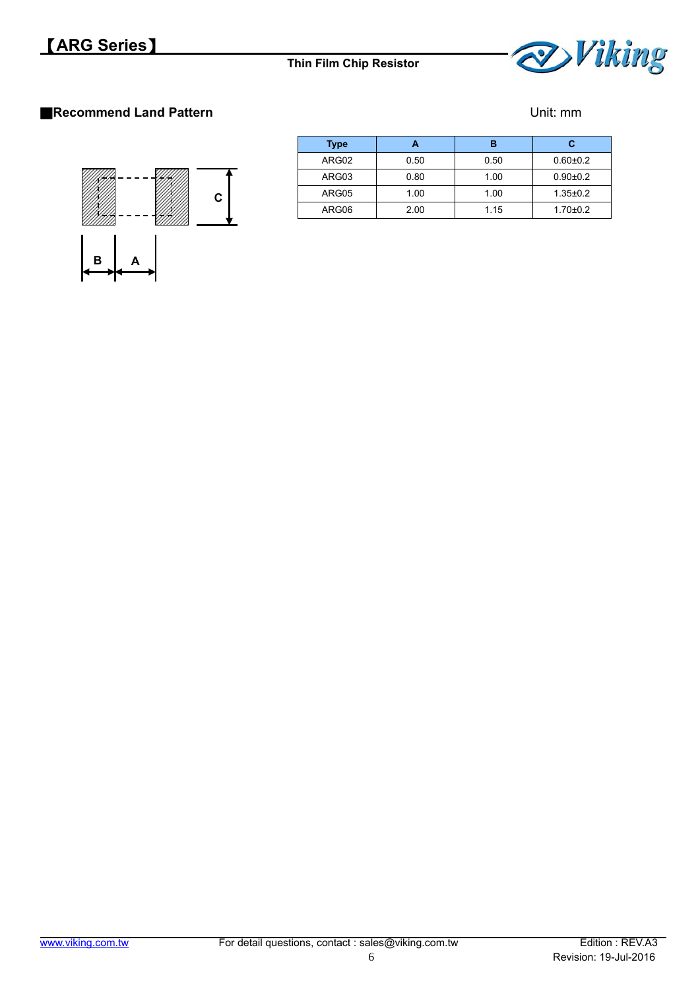

## ■**Recommend Land Pattern District and Pattern Unit: mm**



| <b>Type</b> |      | в    | с              |
|-------------|------|------|----------------|
| ARG02       | 0.50 | 0.50 | $0.60 + 0.2$   |
| ARG03       | 0.80 | 1.00 | $0.90 + 0.2$   |
| ARG05       | 1.00 | 1.00 | $1.35 \pm 0.2$ |
| ARG06       | 2.00 | 1.15 | $1.70 + 0.2$   |